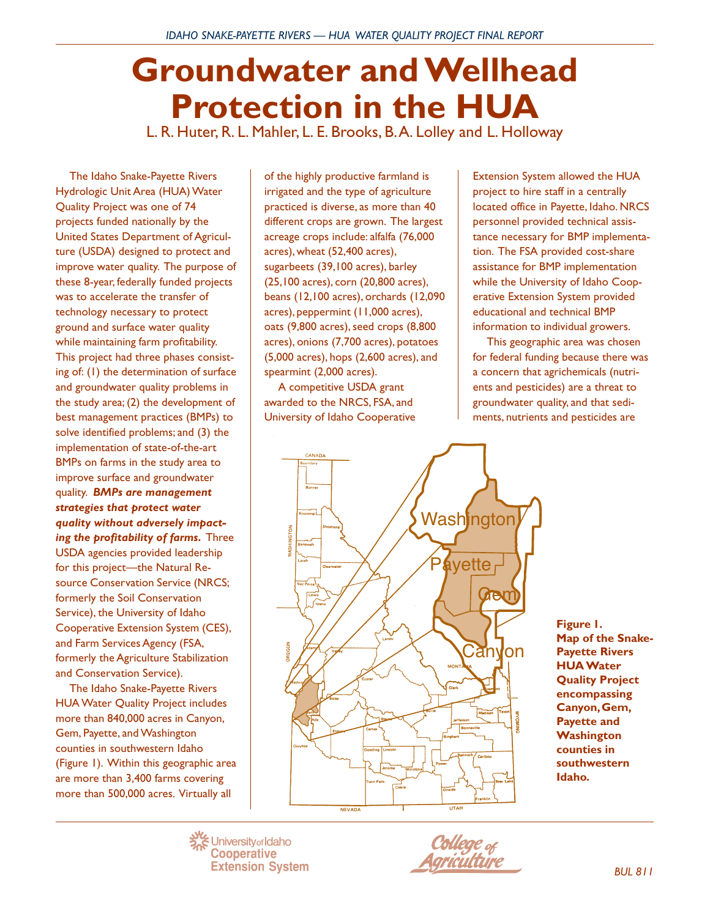# **Groundwater and Wellhead Protection in the HUA**

L. R. Huter, R. L. Mahler, L. E. Brooks, B. A. Lolley and L. Holloway

The Idaho Snake-Payette Rivers Hydrologic Unit Area (HUA) Water Quality Project was one of 74 projects funded nationally by the United States Department of Agriculture (USDA) designed to protect and improve water quality. The purpose of these 8-year, federally funded projects was to accelerate the transfer of technology necessary to protect ground and surface water quality while maintaining farm profitability. This project had three phases consisting of: (1) the determination of surface and groundwater quality problems in the study area; (2) the development of best management practices (BMPs) to solve identified problems; and (3) the implementation of state-of-the-art BMPs on farms in the study area to improve surface and groundwater quality. *BMPs are management strategies that protect water quality without adversely impacting the profitability of farms***.** Three USDA agencies provided leadership for this project—the Natural Resource Conservation Service (NRCS; formerly the Soil Conservation Service), the University of Idaho Cooperative Extension System (CES), and Farm Services Agency (FSA, formerly the Agriculture Stabilization and Conservation Service).

The Idaho Snake-Payette Rivers HUA Water Quality Project includes more than 840,000 acres in Canyon, Gem, Payette, and Washington counties in southwestern Idaho (Figure 1). Within this geographic area are more than 3,400 farms covering more than 500,000 acres. Virtually all

of the highly productive farmland is irrigated and the type of agriculture practiced is diverse, as more than 40 different crops are grown. The largest acreage crops include: alfalfa (76,000 acres), wheat (52,400 acres), sugarbeets (39,100 acres), barley (25,100 acres), corn (20,800 acres), beans (12,100 acres), orchards (12,090 acres), peppermint (11,000 acres), oats (9,800 acres), seed crops (8,800 acres), onions (7,700 acres), potatoes (5,000 acres), hops (2,600 acres), and spearmint (2,000 acres).

A competitive USDA grant awarded to the NRCS, FSA, and University of Idaho Cooperative Extension System allowed the HUA project to hire staff in a centrally located office in Payette, Idaho. NRCS personnel provided technical assistance necessary for BMP implementation. The FSA provided cost-share assistance for BMP implementation while the University of Idaho Cooperative Extension System provided educational and technical BMP information to individual growers.

This geographic area was chosen for federal funding because there was a concern that agrichemicals (nutrients and pesticides) are a threat to groundwater quality, and that sediments, nutrients and pesticides are



**Figure 1. Map of the Snake-Payette Rivers HUA Water Quality Project encompassing Canyon, Gem, Payette and Washington counties in southwestern Idaho.**

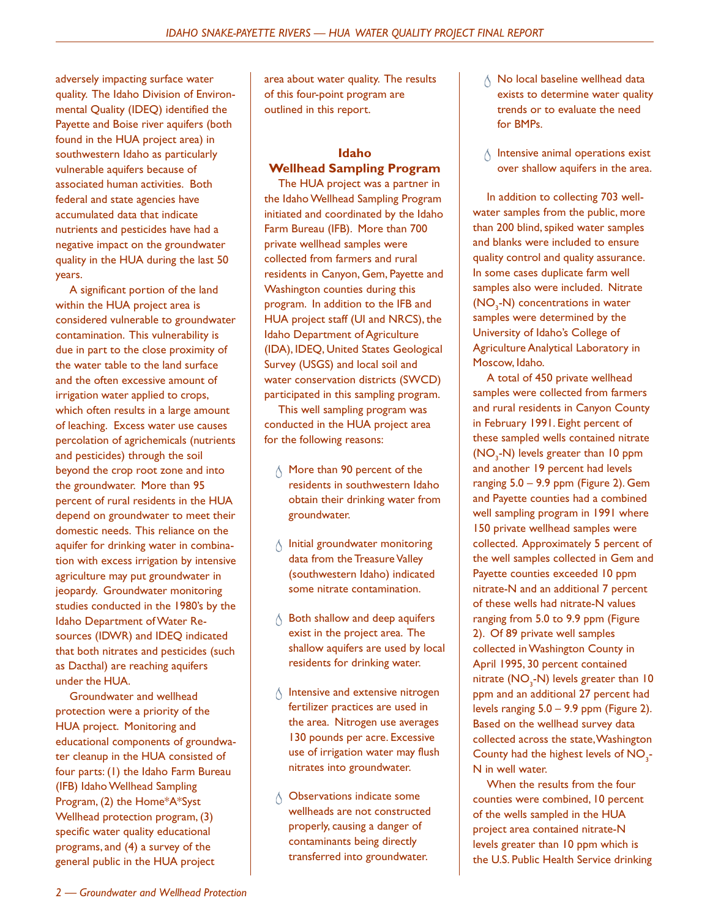adversely impacting surface water quality. The Idaho Division of Environmental Quality (IDEQ) identified the Payette and Boise river aquifers (both found in the HUA project area) in southwestern Idaho as particularly vulnerable aquifers because of associated human activities. Both federal and state agencies have accumulated data that indicate nutrients and pesticides have had a negative impact on the groundwater quality in the HUA during the last 50 years.

A significant portion of the land within the HUA project area is considered vulnerable to groundwater contamination. This vulnerability is due in part to the close proximity of the water table to the land surface and the often excessive amount of irrigation water applied to crops, which often results in a large amount of leaching. Excess water use causes percolation of agrichemicals (nutrients and pesticides) through the soil beyond the crop root zone and into the groundwater. More than 95 percent of rural residents in the HUA depend on groundwater to meet their domestic needs. This reliance on the aquifer for drinking water in combination with excess irrigation by intensive agriculture may put groundwater in jeopardy. Groundwater monitoring studies conducted in the 1980's by the Idaho Department of Water Resources (IDWR) and IDEQ indicated that both nitrates and pesticides (such as Dacthal) are reaching aquifers under the HUA.

Groundwater and wellhead protection were a priority of the HUA project. Monitoring and educational components of groundwater cleanup in the HUA consisted of four parts: (1) the Idaho Farm Bureau (IFB) Idaho Wellhead Sampling Program, (2) the Home\*A\*Syst Wellhead protection program, (3) specific water quality educational programs, and (4) a survey of the general public in the HUA project

area about water quality. The results of this four-point program are outlined in this report.

## **Idaho**

### **Wellhead Sampling Program**

The HUA project was a partner in the Idaho Wellhead Sampling Program initiated and coordinated by the Idaho Farm Bureau (IFB). More than 700 private wellhead samples were collected from farmers and rural residents in Canyon, Gem, Payette and Washington counties during this program. In addition to the IFB and HUA project staff (UI and NRCS), the Idaho Department of Agriculture (IDA), IDEQ, United States Geological Survey (USGS) and local soil and water conservation districts (SWCD) participated in this sampling program.

This well sampling program was conducted in the HUA project area for the following reasons:

- $\wedge$  More than 90 percent of the residents in southwestern Idaho obtain their drinking water from groundwater.
- $\wedge$  Initial groundwater monitoring data from the Treasure Valley (southwestern Idaho) indicated some nitrate contamination.
- $\wedge$  Both shallow and deep aquifers exist in the project area. The shallow aquifers are used by local residents for drinking water.
- $\wedge$  Intensive and extensive nitrogen fertilizer practices are used in the area. Nitrogen use averages 130 pounds per acre. Excessive use of irrigation water may flush nitrates into groundwater.
- $\wedge$  Observations indicate some wellheads are not constructed properly, causing a danger of contaminants being directly transferred into groundwater.
- $\wedge$  No local baseline wellhead data exists to determine water quality trends or to evaluate the need for BMPs.
- $\Diamond$  Intensive animal operations exist over shallow aquifers in the area.

In addition to collecting 703 wellwater samples from the public, more than 200 blind, spiked water samples and blanks were included to ensure quality control and quality assurance. In some cases duplicate farm well samples also were included. Nitrate  $(NO<sub>3</sub>-N)$  concentrations in water samples were determined by the University of Idaho's College of Agriculture Analytical Laboratory in Moscow, Idaho.

A total of 450 private wellhead samples were collected from farmers and rural residents in Canyon County in February 1991. Eight percent of these sampled wells contained nitrate  $(NO<sub>3</sub>-N)$  levels greater than 10 ppm and another 19 percent had levels ranging 5.0 – 9.9 ppm (Figure 2). Gem and Payette counties had a combined well sampling program in 1991 where 150 private wellhead samples were collected. Approximately 5 percent of the well samples collected in Gem and Payette counties exceeded 10 ppm nitrate-N and an additional 7 percent of these wells had nitrate-N values ranging from 5.0 to 9.9 ppm (Figure 2). Of 89 private well samples collected in Washington County in April 1995, 30 percent contained nitrate  $(\mathsf{NO}_{_3}\text{-}\mathsf{N})$  levels greater than 10 ppm and an additional 27 percent had levels ranging 5.0 – 9.9 ppm (Figure 2). Based on the wellhead survey data collected across the state, Washington County had the highest levels of  $NO<sub>3</sub>$ -N in well water.

When the results from the four counties were combined, 10 percent of the wells sampled in the HUA project area contained nitrate-N levels greater than 10 ppm which is the U.S. Public Health Service drinking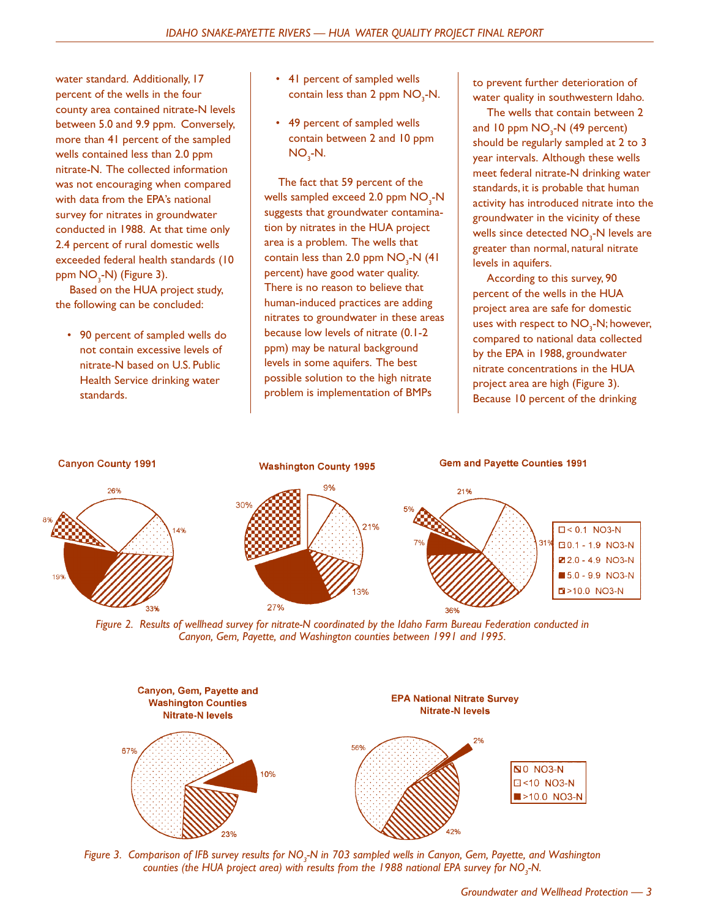water standard. Additionally, 17 percent of the wells in the four county area contained nitrate-N levels between 5.0 and 9.9 ppm. Conversely, more than 41 percent of the sampled wells contained less than 2.0 ppm nitrate-N. The collected information was not encouraging when compared with data from the EPA's national survey for nitrates in groundwater conducted in 1988. At that time only 2.4 percent of rural domestic wells exceeded federal health standards (10 ppm NO<sub>3</sub>-N) (Figure 3).

Based on the HUA project study, the following can be concluded:

• 90 percent of sampled wells do not contain excessive levels of nitrate-N based on U.S. Public Health Service drinking water standards.

- 41 percent of sampled wells contain less than 2 ppm  $\mathsf{NO}_{_3}\text{-}\mathsf{N}.$
- 49 percent of sampled wells contain between 2 and 10 ppm  $NO_{3}$ -N.

The fact that 59 percent of the wells sampled exceed 2.0 ppm  $\mathsf{NO}_{_3}\text{-}\mathsf{N}$ suggests that groundwater contamination by nitrates in the HUA project area is a problem. The wells that contain less than 2.0 ppm  $NO<sub>3</sub>$ -N (41) percent) have good water quality. There is no reason to believe that human-induced practices are adding nitrates to groundwater in these areas because low levels of nitrate (0.1-2 ppm) may be natural background levels in some aquifers. The best possible solution to the high nitrate problem is implementation of BMPs

to prevent further deterioration of water quality in southwestern Idaho.

The wells that contain between 2 and 10 ppm NO<sub>3</sub>-N (49 percent) should be regularly sampled at 2 to 3 year intervals. Although these wells meet federal nitrate-N drinking water standards, it is probable that human activity has introduced nitrate into the groundwater in the vicinity of these wells since detected  $\mathsf{NO}_{\mathfrak{z}}\text{-}\mathsf{N}$  levels are greater than normal, natural nitrate levels in aquifers.

According to this survey, 90 percent of the wells in the HUA project area are safe for domestic uses with respect to  $\mathsf{NO}_{\mathfrak{z}}\text{-}\mathsf{N};$  however, compared to national data collected by the EPA in 1988, groundwater nitrate concentrations in the HUA project area are high (Figure 3). Because 10 percent of the drinking



*Figure 2. Results of wellhead survey for nitrate-N coordinated by the Idaho Farm Bureau Federation conducted in Canyon, Gem, Payette, and Washington counties between 1991 and 1995.*



*Figure 3. Comparison of IFB survey results for NO3 -N in 703 sampled wells in Canyon, Gem, Payette, and Washington* counties (the HUA project area) with results from the 1988 national EPA survey for NO<sub>3</sub>-N.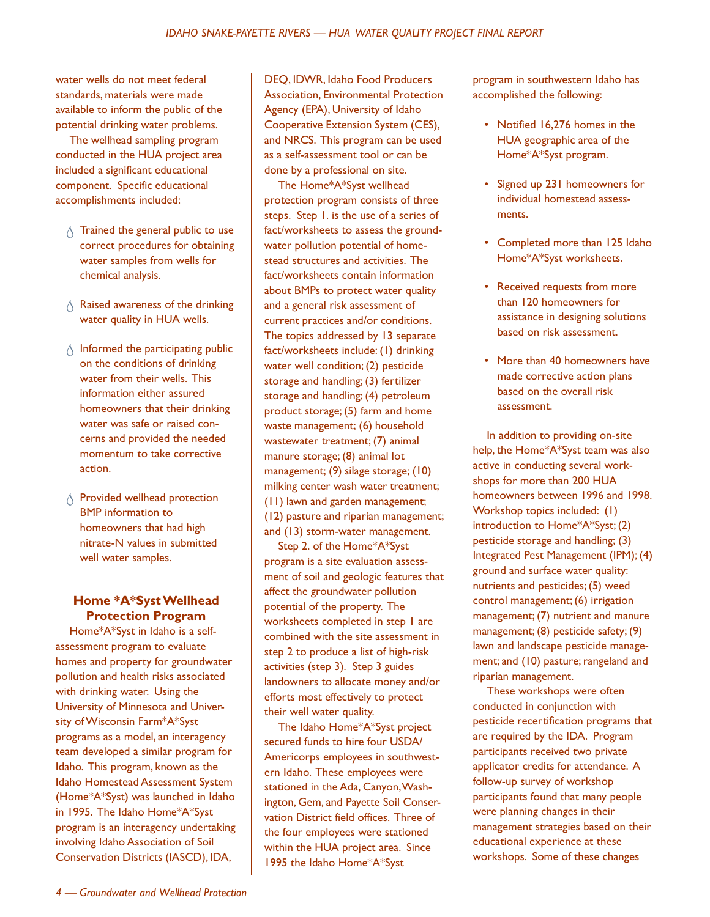water wells do not meet federal standards, materials were made available to inform the public of the potential drinking water problems.

The wellhead sampling program conducted in the HUA project area included a significant educational component. Specific educational accomplishments included:

- $\wedge$  Trained the general public to use correct procedures for obtaining water samples from wells for chemical analysis.
- $\wedge$  Raised awareness of the drinking water quality in HUA wells.
- $\wedge$  Informed the participating public on the conditions of drinking water from their wells. This information either assured homeowners that their drinking water was safe or raised concerns and provided the needed momentum to take corrective action.
- $\wedge$  Provided wellhead protection BMP information to homeowners that had high nitrate-N values in submitted well water samples.

#### **Home \*A\*Syst Wellhead Protection Program**

Home\*A\*Syst in Idaho is a selfassessment program to evaluate homes and property for groundwater pollution and health risks associated with drinking water. Using the University of Minnesota and University of Wisconsin Farm\*A\*Syst programs as a model, an interagency team developed a similar program for Idaho. This program, known as the Idaho Homestead Assessment System (Home\*A\*Syst) was launched in Idaho in 1995. The Idaho Home\*A\*Syst program is an interagency undertaking involving Idaho Association of Soil Conservation Districts (IASCD), IDA,

DEQ, IDWR, Idaho Food Producers Association, Environmental Protection Agency (EPA), University of Idaho Cooperative Extension System (CES), and NRCS. This program can be used as a self-assessment tool or can be done by a professional on site.

The Home\*A\*Syst wellhead protection program consists of three steps. Step 1. is the use of a series of fact/worksheets to assess the groundwater pollution potential of homestead structures and activities. The fact/worksheets contain information about BMPs to protect water quality and a general risk assessment of current practices and/or conditions. The topics addressed by 13 separate fact/worksheets include: (1) drinking water well condition; (2) pesticide storage and handling; (3) fertilizer storage and handling; (4) petroleum product storage; (5) farm and home waste management; (6) household wastewater treatment; (7) animal manure storage; (8) animal lot management; (9) silage storage; (10) milking center wash water treatment; (11) lawn and garden management; (12) pasture and riparian management; and (13) storm-water management.

Step 2. of the Home\*A\*Syst program is a site evaluation assessment of soil and geologic features that affect the groundwater pollution potential of the property. The worksheets completed in step 1 are combined with the site assessment in step 2 to produce a list of high-risk activities (step 3). Step 3 guides landowners to allocate money and/or efforts most effectively to protect their well water quality.

The Idaho Home\*A\*Syst project secured funds to hire four USDA/ Americorps employees in southwestern Idaho. These employees were stationed in the Ada, Canyon, Washington, Gem, and Payette Soil Conservation District field offices. Three of the four employees were stationed within the HUA project area. Since 1995 the Idaho Home\*A\*Syst

program in southwestern Idaho has accomplished the following:

- Notified 16,276 homes in the HUA geographic area of the Home\*A\*Syst program.
- Signed up 231 homeowners for individual homestead assessments.
- Completed more than 125 Idaho Home\*A\*Syst worksheets.
- Received requests from more than 120 homeowners for assistance in designing solutions based on risk assessment.
- More than 40 homeowners have made corrective action plans based on the overall risk assessment.

In addition to providing on-site help, the Home\*A\*Syst team was also active in conducting several workshops for more than 200 HUA homeowners between 1996 and 1998. Workshop topics included: (1) introduction to Home\*A\*Syst; (2) pesticide storage and handling; (3) Integrated Pest Management (IPM); (4) ground and surface water quality: nutrients and pesticides; (5) weed control management; (6) irrigation management; (7) nutrient and manure management; (8) pesticide safety; (9) lawn and landscape pesticide management; and (10) pasture; rangeland and riparian management.

These workshops were often conducted in conjunction with pesticide recertification programs that are required by the IDA. Program participants received two private applicator credits for attendance. A follow-up survey of workshop participants found that many people were planning changes in their management strategies based on their educational experience at these workshops. Some of these changes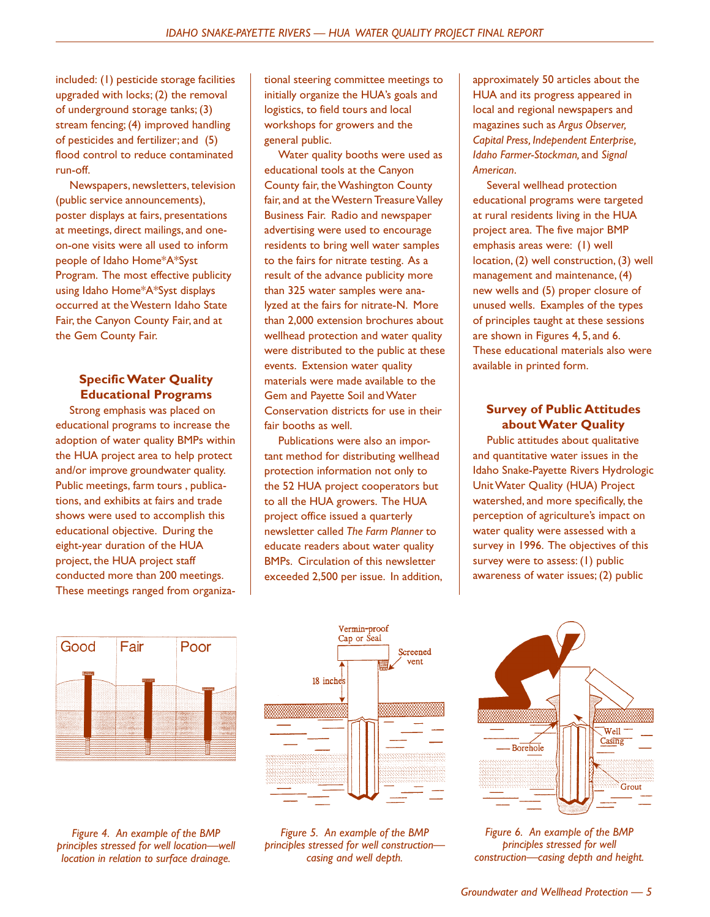included: (1) pesticide storage facilities upgraded with locks; (2) the removal of underground storage tanks; (3) stream fencing; (4) improved handling of pesticides and fertilizer; and (5) flood control to reduce contaminated run-off.

Newspapers, newsletters, television (public service announcements), poster displays at fairs, presentations at meetings, direct mailings, and oneon-one visits were all used to inform people of Idaho Home\*A\*Syst Program. The most effective publicity using Idaho Home\*A\*Syst displays occurred at the Western Idaho State Fair, the Canyon County Fair, and at the Gem County Fair.

#### **Specific Water Quality Educational Programs**

Strong emphasis was placed on educational programs to increase the adoption of water quality BMPs within the HUA project area to help protect and/or improve groundwater quality. Public meetings, farm tours , publications, and exhibits at fairs and trade shows were used to accomplish this educational objective. During the eight-year duration of the HUA project, the HUA project staff conducted more than 200 meetings. These meetings ranged from organizational steering committee meetings to initially organize the HUA's goals and logistics, to field tours and local workshops for growers and the general public.

Water quality booths were used as educational tools at the Canyon County fair, the Washington County fair, and at the Western Treasure Valley Business Fair. Radio and newspaper advertising were used to encourage residents to bring well water samples to the fairs for nitrate testing. As a result of the advance publicity more than 325 water samples were analyzed at the fairs for nitrate-N. More than 2,000 extension brochures about wellhead protection and water quality were distributed to the public at these events. Extension water quality materials were made available to the Gem and Payette Soil and Water Conservation districts for use in their fair booths as well.

Publications were also an important method for distributing wellhead protection information not only to the 52 HUA project cooperators but to all the HUA growers. The HUA project office issued a quarterly newsletter called *The Farm Planner* to educate readers about water quality BMPs. Circulation of this newsletter exceeded 2,500 per issue. In addition,

approximately 50 articles about the HUA and its progress appeared in local and regional newspapers and magazines such as *Argus Observer, Capital Press, Independent Enterprise, Idaho Farmer-Stockman,* and *Signal American*.

Several wellhead protection educational programs were targeted at rural residents living in the HUA project area. The five major BMP emphasis areas were: (1) well location, (2) well construction, (3) well management and maintenance, (4) new wells and (5) proper closure of unused wells. Examples of the types of principles taught at these sessions are shown in Figures 4, 5, and 6. These educational materials also were available in printed form.

#### **Survey of Public Attitudes about Water Quality**

Public attitudes about qualitative and quantitative water issues in the Idaho Snake-Payette Rivers Hydrologic Unit Water Quality (HUA) Project watershed, and more specifically, the perception of agriculture's impact on water quality were assessed with a survey in 1996. The objectives of this survey were to assess: (1) public awareness of water issues; (2) public





*Figure 4. An example of the BMP principles stressed for well location—well location in relation to surface drainage.*

*Figure 5. An example of the BMP principles stressed for well construction casing and well depth.*



*Figure 6. An example of the BMP principles stressed for well construction—casing depth and height.*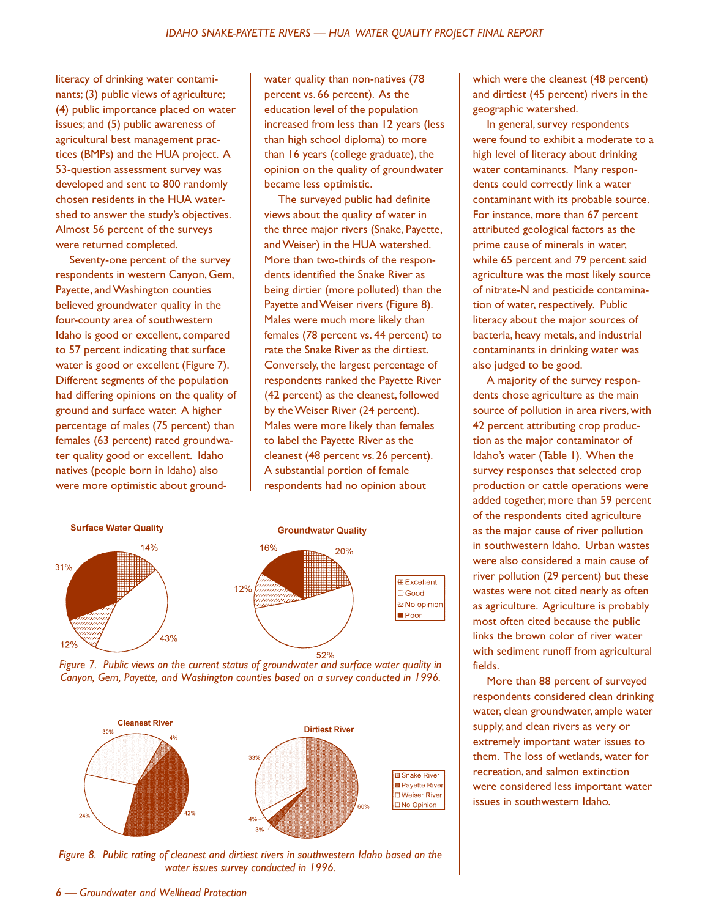literacy of drinking water contaminants; (3) public views of agriculture; (4) public importance placed on water issues; and (5) public awareness of agricultural best management practices (BMPs) and the HUA project. A 53-question assessment survey was developed and sent to 800 randomly chosen residents in the HUA watershed to answer the study's objectives. Almost 56 percent of the surveys were returned completed.

Seventy-one percent of the survey respondents in western Canyon, Gem, Payette, and Washington counties believed groundwater quality in the four-county area of southwestern Idaho is good or excellent, compared to 57 percent indicating that surface water is good or excellent (Figure 7). Different segments of the population had differing opinions on the quality of ground and surface water. A higher percentage of males (75 percent) than females (63 percent) rated groundwater quality good or excellent. Idaho natives (people born in Idaho) also were more optimistic about groundwater quality than non-natives (78 percent vs. 66 percent). As the education level of the population increased from less than 12 years (less than high school diploma) to more than 16 years (college graduate), the opinion on the quality of groundwater became less optimistic.

The surveyed public had definite views about the quality of water in the three major rivers (Snake, Payette, and Weiser) in the HUA watershed. More than two-thirds of the respondents identified the Snake River as being dirtier (more polluted) than the Payette and Weiser rivers (Figure 8). Males were much more likely than females (78 percent vs. 44 percent) to rate the Snake River as the dirtiest. Conversely, the largest percentage of respondents ranked the Payette River (42 percent) as the cleanest, followed by the Weiser River (24 percent). Males were more likely than females to label the Payette River as the cleanest (48 percent vs. 26 percent). A substantial portion of female respondents had no opinion about







*Figure 8. Public rating of cleanest and dirtiest rivers in southwestern Idaho based on the water issues survey conducted in 1996.*

which were the cleanest (48 percent) and dirtiest (45 percent) rivers in the geographic watershed.

In general, survey respondents were found to exhibit a moderate to a high level of literacy about drinking water contaminants. Many respondents could correctly link a water contaminant with its probable source. For instance, more than 67 percent attributed geological factors as the prime cause of minerals in water, while 65 percent and 79 percent said agriculture was the most likely source of nitrate-N and pesticide contamination of water, respectively. Public literacy about the major sources of bacteria, heavy metals, and industrial contaminants in drinking water was also judged to be good.

A majority of the survey respondents chose agriculture as the main source of pollution in area rivers, with 42 percent attributing crop production as the major contaminator of Idaho's water (Table 1). When the survey responses that selected crop production or cattle operations were added together, more than 59 percent of the respondents cited agriculture as the major cause of river pollution in southwestern Idaho. Urban wastes were also considered a main cause of river pollution (29 percent) but these wastes were not cited nearly as often as agriculture. Agriculture is probably most often cited because the public links the brown color of river water with sediment runoff from agricultural fields.

More than 88 percent of surveyed respondents considered clean drinking water, clean groundwater, ample water supply, and clean rivers as very or extremely important water issues to them. The loss of wetlands, water for recreation, and salmon extinction were considered less important water issues in southwestern Idaho.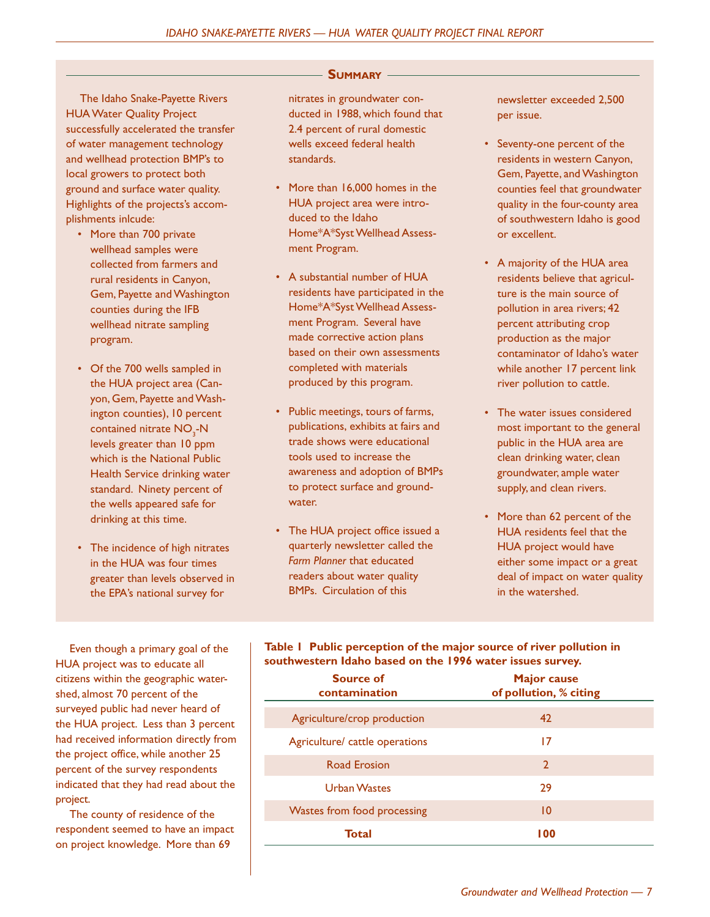The Idaho Snake-Payette Rivers HUA Water Quality Project successfully accelerated the transfer of water management technology and wellhead protection BMP's to local growers to protect both ground and surface water quality. Highlights of the projects's accomplishments inlcude:

- More than 700 private wellhead samples were collected from farmers and rural residents in Canyon, Gem, Payette and Washington counties during the IFB wellhead nitrate sampling program.
- Of the 700 wells sampled in the HUA project area (Canyon, Gem, Payette and Washington counties), 10 percent contained nitrate  $\mathsf{NO}_{\mathsf{3}}\text{-}\mathsf{N}$ levels greater than 10 ppm which is the National Public Health Service drinking water standard. Ninety percent of the wells appeared safe for drinking at this time.
- The incidence of high nitrates in the HUA was four times greater than levels observed in the EPA's national survey for

**SUMMARY**

nitrates in groundwater conducted in 1988, which found that 2.4 percent of rural domestic wells exceed federal health standards.

- More than 16,000 homes in the HUA project area were introduced to the Idaho Home\*A\*Syst Wellhead Assessment Program.
- A substantial number of HUA residents have participated in the Home\*A\*Syst Wellhead Assessment Program. Several have made corrective action plans based on their own assessments completed with materials produced by this program.
- Public meetings, tours of farms, publications, exhibits at fairs and trade shows were educational tools used to increase the awareness and adoption of BMPs to protect surface and groundwater.
- The HUA project office issued a quarterly newsletter called the *Farm Planner* that educated readers about water quality BMPs. Circulation of this

newsletter exceeded 2,500 per issue.

- Seventy-one percent of the residents in western Canyon, Gem, Payette, and Washington counties feel that groundwater quality in the four-county area of southwestern Idaho is good or excellent.
- A majority of the HUA area residents believe that agriculture is the main source of pollution in area rivers; 42 percent attributing crop production as the major contaminator of Idaho's water while another 17 percent link river pollution to cattle.
- The water issues considered most important to the general public in the HUA area are clean drinking water, clean groundwater, ample water supply, and clean rivers.
- More than 62 percent of the HUA residents feel that the HUA project would have either some impact or a great deal of impact on water quality in the watershed.

Even though a primary goal of the HUA project was to educate all citizens within the geographic watershed, almost 70 percent of the surveyed public had never heard of the HUA project. Less than 3 percent had received information directly from the project office, while another 25 percent of the survey respondents indicated that they had read about the project.

The county of residence of the respondent seemed to have an impact on project knowledge. More than 69

#### **Table 1 Public perception of the major source of river pollution in southwestern Idaho based on the 1996 water issues survey.**

| <b>Source of</b><br>contamination | <b>Major cause</b><br>of pollution, % citing |
|-----------------------------------|----------------------------------------------|
| Agriculture/crop production       | 42                                           |
| Agriculture/ cattle operations    | 17                                           |
| <b>Road Erosion</b>               | $\overline{2}$                               |
| <b>Urban Wastes</b>               | 29                                           |
| Wastes from food processing       | $\overline{10}$                              |
| <b>Total</b>                      | 100                                          |